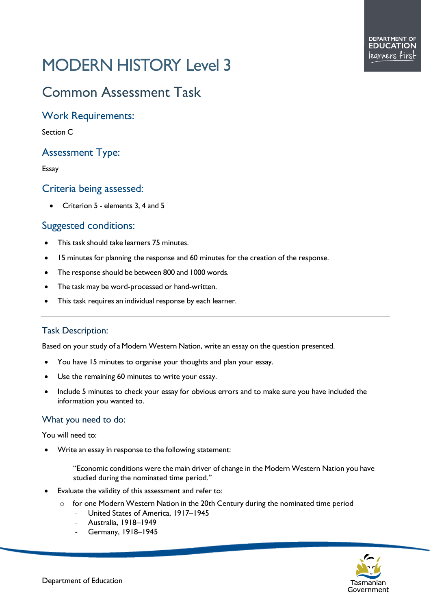# MODERN HISTORY Level 3

# Common Assessment Task

# Work Requirements:

Section C

# Assessment Type:

#### Essay

## Criteria being assessed:

• Criterion 5 - elements 3, 4 and 5

# Suggested conditions:

- This task should take learners 75 minutes.
- 15 minutes for planning the response and 60 minutes for the creation of the response.
- The response should be between 800 and 1000 words.
- The task may be word-processed or hand-written.
- This task requires an individual response by each learner.

## Task Description:

Based on your study of a Modern Western Nation, write an essay on the question presented.

- You have 15 minutes to organise your thoughts and plan your essay.
- Use the remaining 60 minutes to write your essay.
- Include 5 minutes to check your essay for obvious errors and to make sure you have included the information you wanted to.

#### What you need to do:

You will need to:

- Write an essay in response to the following statement:
	- "Economic conditions were the main driver of change in the Modern Western Nation you have studied during the nominated time period."
- Evaluate the validity of this assessment and refer to:
	- $\circ$  for one Modern Western Nation in the 20th Century during the nominated time period
		- United States of America, 1917–1945
		- Australia, 1918–1949
		- Germany, 1918-1945